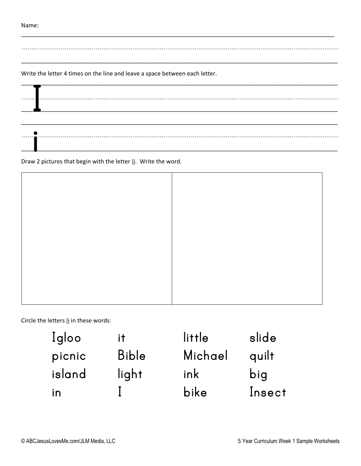Name:

Write the letter 4 times on the line and leave a space between each letter.

| Draw 2 nictures that hegin with the letter Ii Write the word |  |  |  |  |  |
|--------------------------------------------------------------|--|--|--|--|--|

\_\_\_\_\_\_\_\_\_\_\_\_\_\_\_\_\_\_\_\_\_\_\_\_\_\_\_\_\_\_\_\_\_\_\_\_\_\_\_\_\_\_\_\_\_\_\_\_\_\_\_\_\_\_\_\_\_\_\_\_\_\_\_\_\_\_\_\_\_\_\_\_\_\_\_\_\_\_\_\_\_\_\_\_\_\_\_\_\_\_\_\_\_\_\_\_\_

\_\_\_\_\_\_\_\_\_\_\_\_\_\_\_\_\_\_\_\_\_\_\_\_\_\_\_\_\_\_\_\_\_\_\_\_\_\_\_\_\_\_\_\_\_\_\_\_\_\_\_\_\_\_\_\_\_\_\_\_\_\_\_\_\_\_\_\_\_\_\_\_\_\_\_\_\_\_\_\_\_\_\_\_\_\_\_\_\_\_\_\_\_\_\_\_\_\_

Draw 2 pictures that begin with the letter **I**i. Write the word.

Circle the letters **I**i in these words:

| Igloo  | it.          | little  | slide  |
|--------|--------------|---------|--------|
| picnic | <b>Bible</b> | Michael | quilt  |
| island | light        | ink     | big    |
| -in    |              | bike    | Insect |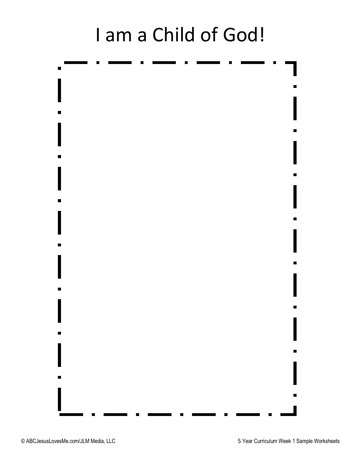## I am a Child of God!

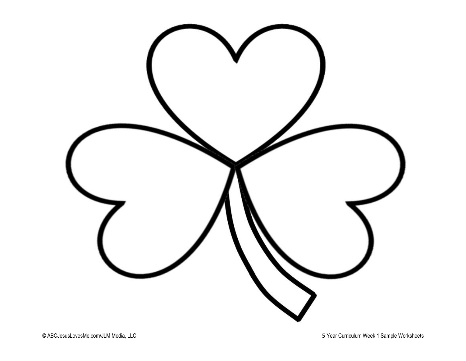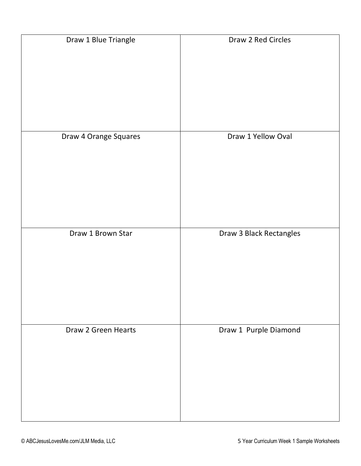| Draw 1 Blue Triangle  | Draw 2 Red Circles      |
|-----------------------|-------------------------|
|                       |                         |
| Draw 4 Orange Squares | Draw 1 Yellow Oval      |
| Draw 1 Brown Star     | Draw 3 Black Rectangles |
| Draw 2 Green Hearts   | Draw 1 Purple Diamond   |